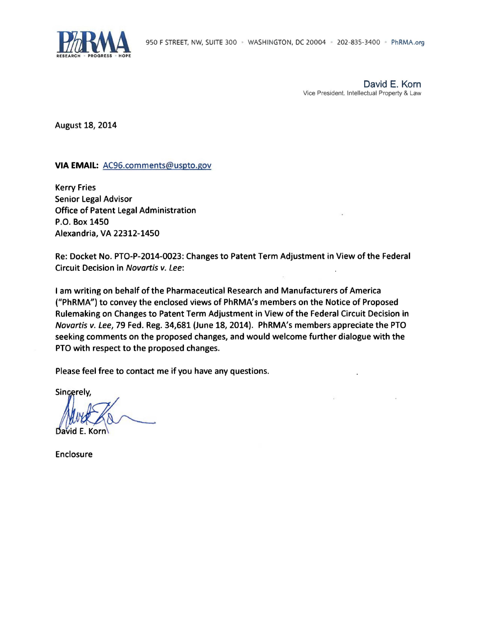

David E. Korn Vice President. Intellectual Property & Law

August 18, 2014

#### **VIA EMAIL:** AC96.comments@uspto.gov

Kerry Fries Senior legal Advisor Office of Patent legal Administration P.O. Box 1450 Alexandria, VA 22312-1450

Re: Docket No. PTO-P-2014-0023: Changes to Patent Term Adjustment in View of the Federal Circuit Decision in Novartis v. Lee:

I am writing on behalf ofthe Pharmaceutical Research and Manufacturers of America ("PhRMA") to convey the enclosed views of PhRMA'g members on the Notice of Proposed Rulemaking on Changes to Patent Term Adjustment in View of the Federal Circuit Decision in Novartis v. Lee, 79 Fed. Reg. 34,681 (June 18, 2014). PhRMA's members appreciate the PTO seeking comments on the proposed changes, and would welcome further dialogue with the PTO with respect to the proposed changes.

Please feel free to contact me if you have any questions.

Sincerely,

Muret Com

Enclosure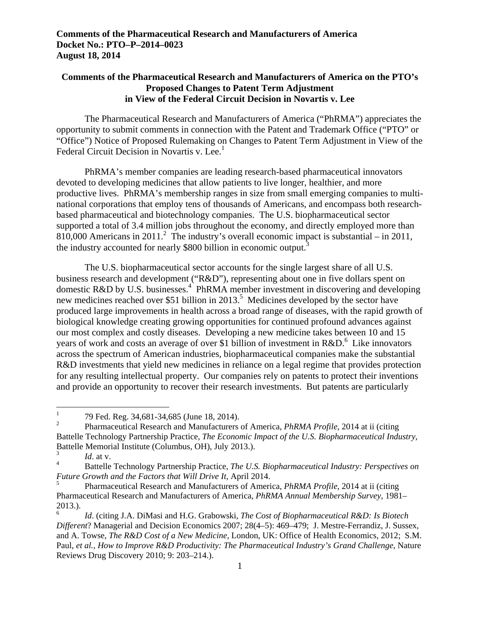## **Comments of the Pharmaceutical Research and Manufacturers of America on the PTO's Proposed Changes to Patent Term Adjustment in View of the Federal Circuit Decision in Novartis v. Lee**

Federal Circuit Decision in Novartis v. Lee.<sup>1</sup> The Pharmaceutical Research and Manufacturers of America ("PhRMA") appreciates the opportunity to submit comments in connection with the Patent and Trademark Office ("PTO" or "Office") Notice of Proposed Rulemaking on Changes to Patent Term Adjustment in View of the

PhRMA's member companies are leading research-based pharmaceutical innovators devoted to developing medicines that allow patients to live longer, healthier, and more productive lives. PhRMA's membership ranges in size from small emerging companies to multinational corporations that employ tens of thousands of Americans, and encompass both researchbased pharmaceutical and biotechnology companies. The U.S. biopharmaceutical sector supported a total of 3.4 million jobs throughout the economy, and directly employed more than 810,000 Americans in 2011.<sup>2</sup> The industry's overall economic impact is substantial – in 2011, the industry accounted for nearly \$800 billion in economic output.<sup>3</sup>

The U.S. biopharmaceutical sector accounts for the single largest share of all U.S. business research and development ("R&D"), representing about one in five dollars spent on domestic R&D by U.S. businesses.<sup>4</sup> PhRMA member investment in discovering and developing new medicines reached over \$51 billion in 2013.<sup>5</sup> Medicines developed by the sector have produced large improvements in health across a broad range of diseases, with the rapid growth of biological knowledge creating growing opportunities for continued profound advances against our most complex and costly diseases. Developing a new medicine takes between 10 and 15 years of work and costs an average of over \$1 billion of investment in  $R&D^6$ . Like innovators across the spectrum of American industries, biopharmaceutical companies make the substantial R&D investments that yield new medicines in reliance on a legal regime that provides protection for any resulting intellectual property. Our companies rely on patents to protect their inventions and provide an opportunity to recover their research investments. But patents are particularly

 $\overline{a}$ 

<sup>1 79</sup> Fed. Reg. 34,681-34,685 (June 18, 2014).

 $\overline{2}$  2 Pharmaceutical Research and Manufacturers of America, *PhRMA Profile*, 2014 at ii (citing Battelle Technology Partnership Practice, *The Economic Impact of the U.S. Biopharmaceutical Industry*, Battelle Memorial Institute (Columbus, OH), July 2013.).

<sup>3</sup>*Id*. at v.

<sup>4</sup> Battelle Technology Partnership Practice, *The U.S. Biopharmaceutical Industry: Perspectives on Future Growth and the Factors that Will Drive It*, April 2014.

5 Pharmaceutical Research and Manufacturers of America, *PhRMA Profile*, 2014 at ii (citing Pharmaceutical Research and Manufacturers of America, *PhRMA Annual Membership Survey*, 1981– 2013.).

<sup>6</sup>*Id*. (citing J.A. DiMasi and H.G. Grabowski, *The Cost of Biopharmaceutical R&D: Is Biotech Different*? Managerial and Decision Economics 2007; 28(4–5): 469–479; J. Mestre-Ferrandiz, J. Sussex, and A. Towse, *The R&D Cost of a New Medicine*, London, UK: Office of Health Economics, 2012; S.M. Paul, *et al., How to Improve R&D Productivity: The Pharmaceutical Industry's Grand Challenge*, Nature Reviews Drug Discovery 2010; 9: 203–214.).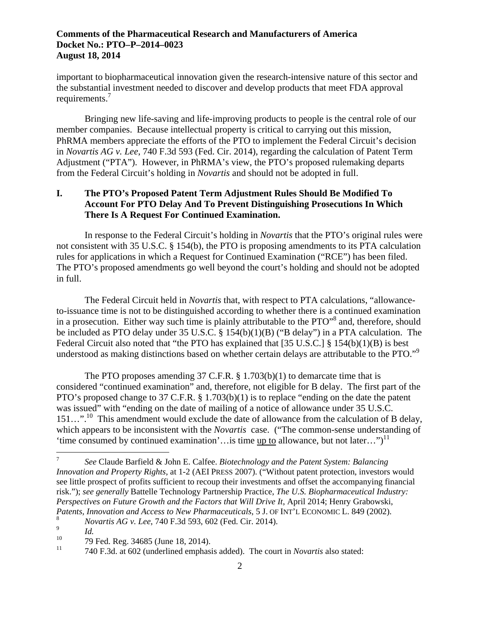requirements.<sup>7</sup> important to biopharmaceutical innovation given the research-intensive nature of this sector and the substantial investment needed to discover and develop products that meet FDA approval

Bringing new life-saving and life-improving products to people is the central role of our member companies. Because intellectual property is critical to carrying out this mission, PhRMA members appreciate the efforts of the PTO to implement the Federal Circuit's decision in *Novartis AG v. Lee*, 740 F.3d 593 (Fed. Cir. 2014), regarding the calculation of Patent Term Adjustment ("PTA"). However, in PhRMA's view, the PTO's proposed rulemaking departs from the Federal Circuit's holding in *Novartis* and should not be adopted in full.

# **I. The PTO's Proposed Patent Term Adjustment Rules Should Be Modified To Account For PTO Delay And To Prevent Distinguishing Prosecutions In Which There Is A Request For Continued Examination.**

In response to the Federal Circuit's holding in *Novartis* that the PTO's original rules were not consistent with 35 U.S.C. § 154(b), the PTO is proposing amendments to its PTA calculation rules for applications in which a Request for Continued Examination ("RCE") has been filed. The PTO's proposed amendments go well beyond the court's holding and should not be adopted in full.

 understood as making distinctions based on whether certain delays are attributable to the PTO."<sup>9</sup> The Federal Circuit held in *Novartis* that, with respect to PTA calculations, "allowanceto-issuance time is not to be distinguished according to whether there is a continued examination in a prosecution. Either way such time is plainly attributable to the PTO"<sup>8</sup> and, therefore, should be included as PTO delay under 35 U.S.C. § 154(b)(1)(B) ("B delay") in a PTA calculation. The Federal Circuit also noted that "the PTO has explained that [35 U.S.C.] § 154(b)(1)(B) is best

'time consumed by continued examination'... is time up to allowance, but not later...")<sup>11</sup> The PTO proposes amending 37 C.F.R. § 1.703(b)(1) to demarcate time that is considered "continued examination" and, therefore, not eligible for B delay. The first part of the PTO's proposed change to 37 C.F.R. § 1.703(b)(1) is to replace "ending on the date the patent was issued" with "ending on the date of mailing of a notice of allowance under 35 U.S.C. 151...".<sup>10</sup> This amendment would exclude the date of allowance from the calculation of B delay, which appears to be inconsistent with the *Novartis* case. ("The common-sense understanding of

 $\overline{a}$ 

<sup>7</sup>*See* Claude Barfield & John E. Calfee. *Biotechnology and the Patent System: Balancing Innovation and Property Rights*, at 1-2 (AEI PRESS 2007). ("Without patent protection, investors would see little prospect of profits sufficient to recoup their investments and offset the accompanying financial risk."); *see generally* Battelle Technology Partnership Practice, *The U.S. Biopharmaceutical Industry: Perspectives on Future Growth and the Factors that Will Drive It*, April 2014; Henry Grabowski, *Patents, Innovation and Access to New Pharmaceuticals*, 5 J. OF INT'L ECONOMIC L. 849 (2002).

<sup>8</sup>*Novartis AG v. Lee*, 740 F.3d 593, 602 (Fed. Cir. 2014).

 $\frac{9}{10}$  *Id.* 

10 79 Fed. Reg. 34685 (June 18, 2014).

 $11$ 11 740 F.3d. at 602 (underlined emphasis added). The court in *Novartis* also stated: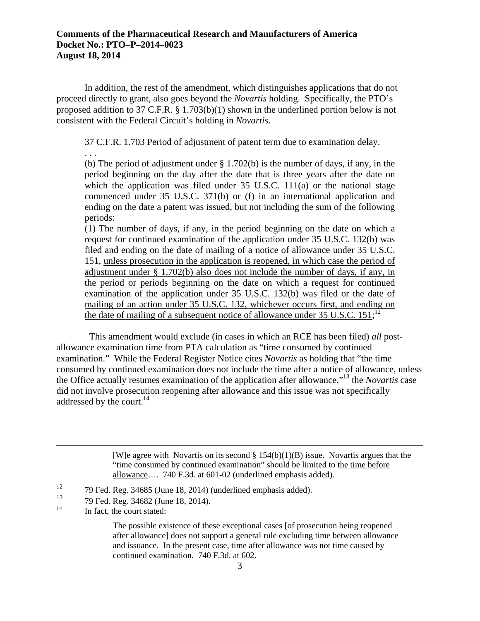In addition, the rest of the amendment, which distinguishes applications that do not proceed directly to grant, also goes beyond the *Novartis* holding. Specifically, the PTO's proposed addition to 37 C.F.R. § 1.703(b)(1) shown in the underlined portion below is not consistent with the Federal Circuit's holding in *Novartis*.

37 C.F.R. 1.703 Period of adjustment of patent term due to examination delay.

. . . (b) The period of adjustment under § 1.702(b) is the number of days, if any, in the period beginning on the day after the date that is three years after the date on which the application was filed under 35 U.S.C. 111(a) or the national stage commenced under 35 U.S.C. 371(b) or (f) in an international application and ending on the date a patent was issued, but not including the sum of the following periods:

(1) The number of days, if any, in the period beginning on the date on which a request for continued examination of the application under 35 U.S.C. 132(b) was filed and ending on the date of mailing of a notice of allowance under 35 U.S.C. 151, unless prosecution in the application is reopened, in which case the period of adjustment under § 1.702(b) also does not include the number of days, if any, in the period or periods beginning on the date on which a request for continued examination of the application under 35 U.S.C. 132(b) was filed or the date of mailing of an action under 35 U.S.C. 132, whichever occurs first, and ending on the date of mailing of a subsequent notice of allowance under 35 U.S.C.  $151$ ;<sup>12</sup>

addressed by the court.<sup>14</sup> This amendment would exclude (in cases in which an RCE has been filed) *all* postallowance examination time from PTA calculation as "time consumed by continued examination." While the Federal Register Notice cites *Novartis* as holding that "the time consumed by continued examination does not include the time after a notice of allowance, unless the Office actually resumes examination of the application after allowance,"13 the *Novartis* case did not involve prosecution reopening after allowance and this issue was not specifically

> [W]e agree with Novartis on its second  $\S 154(b)(1)(B)$  issue. Novartis argues that the "time consumed by continued examination" should be limited to the time before allowance…. 740 F.3d. at 601-02 (underlined emphasis added).

 $\overline{a}$ 

The possible existence of these exceptional cases [of prosecution being reopened after allowance] does not support a general rule excluding time between allowance and issuance. In the present case, time after allowance was not time caused by continued examination. 740 F.3d. at 602.

 $12<sup>12</sup>$ 12 79 Fed. Reg. 34685 (June 18, 2014) (underlined emphasis added).

 $\frac{13}{14}$ 13 79 Fed. Reg. 34682 (June 18, 2014).<br>
In fact, the court stated: